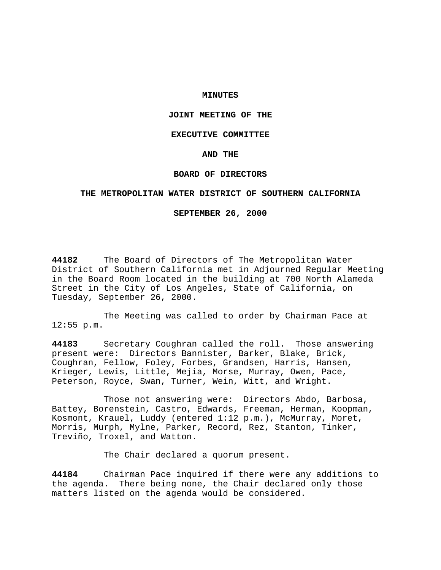## **MINUTES**

# **JOINT MEETING OF THE**

### **EXECUTIVE COMMITTEE**

### **AND THE**

## **BOARD OF DIRECTORS**

## **THE METROPOLITAN WATER DISTRICT OF SOUTHERN CALIFORNIA**

## **SEPTEMBER 26, 2000**

**44182** The Board of Directors of The Metropolitan Water District of Southern California met in Adjourned Regular Meeting in the Board Room located in the building at 700 North Alameda Street in the City of Los Angeles, State of California, on Tuesday, September 26, 2000.

The Meeting was called to order by Chairman Pace at 12:55 p.m.

**44183** Secretary Coughran called the roll. Those answering present were: Directors Bannister, Barker, Blake, Brick, Coughran, Fellow, Foley, Forbes, Grandsen, Harris, Hansen, Krieger, Lewis, Little, Mejia, Morse, Murray, Owen, Pace, Peterson, Royce, Swan, Turner, Wein, Witt, and Wright.

Those not answering were: Directors Abdo, Barbosa, Battey, Borenstein, Castro, Edwards, Freeman, Herman, Koopman, Kosmont, Krauel, Luddy (entered 1:12 p.m.), McMurray, Moret, Morris, Murph, Mylne, Parker, Record, Rez, Stanton, Tinker, Treviño, Troxel, and Watton.

The Chair declared a quorum present.

**44184** Chairman Pace inquired if there were any additions to the agenda. There being none, the Chair declared only those matters listed on the agenda would be considered.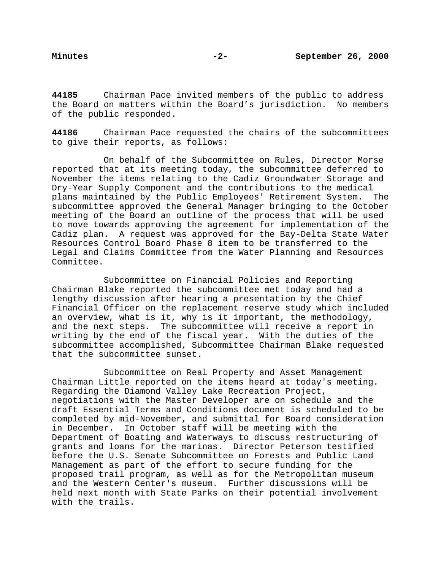**44185** Chairman Pace invited members of the public to address the Board on matters within the Board's jurisdiction. No members of the public responded.

**44186** Chairman Pace requested the chairs of the subcommittees to give their reports, as follows:

On behalf of the Subcommittee on Rules, Director Morse reported that at its meeting today, the subcommittee deferred to November the items relating to the Cadiz Groundwater Storage and Dry-Year Supply Component and the contributions to the medical plans maintained by the Public Employees' Retirement System. The subcommittee approved the General Manager bringing to the October meeting of the Board an outline of the process that will be used to move towards approving the agreement for implementation of the Cadiz plan. A request was approved for the Bay-Delta State Water Resources Control Board Phase 8 item to be transferred to the Legal and Claims Committee from the Water Planning and Resources Committee.

Subcommittee on Financial Policies and Reporting Chairman Blake reported the subcommittee met today and had a lengthy discussion after hearing a presentation by the Chief Financial Officer on the replacement reserve study which included an overview, what is it, why is it important, the methodology, and the next steps. The subcommittee will receive a report in writing by the end of the fiscal year. With the duties of the subcommittee accomplished, Subcommittee Chairman Blake requested that the subcommittee sunset.

Subcommittee on Real Property and Asset Management Chairman Little reported on the items heard at today's meeting. Regarding the Diamond Valley Lake Recreation Project, negotiations with the Master Developer are on schedule and the draft Essential Terms and Conditions document is scheduled to be completed by mid-November, and submittal for Board consideration in December. In October staff will be meeting with the Department of Boating and Waterways to discuss restructuring of grants and loans for the marinas. Director Peterson testified before the U.S. Senate Subcommittee on Forests and Public Land Management as part of the effort to secure funding for the proposed trail program, as well as for the Metropolitan museum and the Western Center's museum. Further discussions will be held next month with State Parks on their potential involvement with the trails.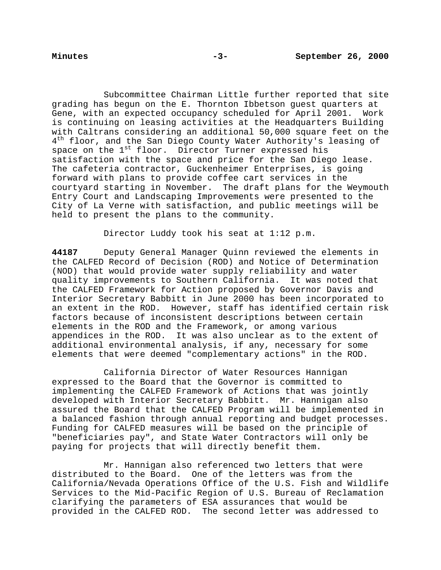Subcommittee Chairman Little further reported that site grading has begun on the E. Thornton Ibbetson guest quarters at Gene, with an expected occupancy scheduled for April 2001. Work is continuing on leasing activities at the Headquarters Building with Caltrans considering an additional 50,000 square feet on the 4<sup>th</sup> floor, and the San Diego County Water Authority's leasing of space on the 1<sup>st</sup> floor. Director Turner expressed his satisfaction with the space and price for the San Diego lease. The cafeteria contractor, Guckenheimer Enterprises, is going forward with plans to provide coffee cart services in the courtyard starting in November. The draft plans for the Weymouth Entry Court and Landscaping Improvements were presented to the City of La Verne with satisfaction, and public meetings will be held to present the plans to the community.

Director Luddy took his seat at 1:12 p.m.

**44187** Deputy General Manager Quinn reviewed the elements in the CALFED Record of Decision (ROD) and Notice of Determination (NOD) that would provide water supply reliability and water quality improvements to Southern California. It was noted that the CALFED Framework for Action proposed by Governor Davis and Interior Secretary Babbitt in June 2000 has been incorporated to an extent in the ROD. However, staff has identified certain risk factors because of inconsistent descriptions between certain elements in the ROD and the Framework, or among various appendices in the ROD. It was also unclear as to the extent of additional environmental analysis, if any, necessary for some elements that were deemed "complementary actions" in the ROD.

California Director of Water Resources Hannigan expressed to the Board that the Governor is committed to implementing the CALFED Framework of Actions that was jointly developed with Interior Secretary Babbitt. Mr. Hannigan also assured the Board that the CALFED Program will be implemented in a balanced fashion through annual reporting and budget processes. Funding for CALFED measures will be based on the principle of "beneficiaries pay", and State Water Contractors will only be paying for projects that will directly benefit them.

Mr. Hannigan also referenced two letters that were distributed to the Board. One of the letters was from the California/Nevada Operations Office of the U.S. Fish and Wildlife Services to the Mid-Pacific Region of U.S. Bureau of Reclamation clarifying the parameters of ESA assurances that would be provided in the CALFED ROD. The second letter was addressed to